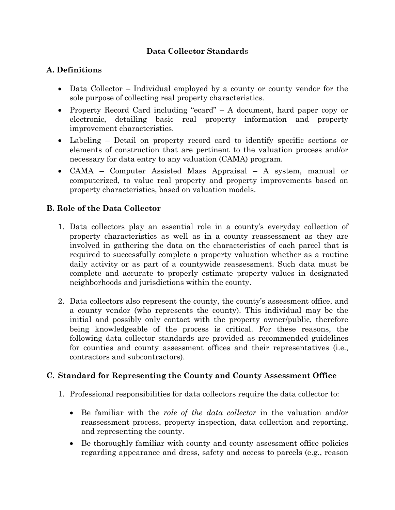# **Data Collector Standard**s

### **A. Definitions**

- Data Collector Individual employed by a county or county vendor for the sole purpose of collecting real property characteristics.
- Property Record Card including "ecard" A document, hard paper copy or electronic, detailing basic real property information and property improvement characteristics.
- Labeling Detail on property record card to identify specific sections or elements of construction that are pertinent to the valuation process and/or necessary for data entry to any valuation (CAMA) program.
- CAMA Computer Assisted Mass Appraisal A system, manual or computerized, to value real property and property improvements based on property characteristics, based on valuation models.

## **B. Role of the Data Collector**

- 1. Data collectors play an essential role in a county's everyday collection of property characteristics as well as in a county reassessment as they are involved in gathering the data on the characteristics of each parcel that is required to successfully complete a property valuation whether as a routine daily activity or as part of a countywide reassessment. Such data must be complete and accurate to properly estimate property values in designated neighborhoods and jurisdictions within the county. **Definitions**<br>
Definitions<br>
DRA Collector Individual capabyed by a county or county vendor for the<br>
sole partoes of collecting real property than<br>catatiests. The property change is considerable as property information<br>
an
	- 2. Data collectors also represent the county, the county's assessment office, and a county vendor (who represents the county). This individual may be the initial and possibly only contact with the property owner/public, therefore being knowledgeable of the process is critical. For these reasons, the following data collector standards are provided as recommended guidelines for counties and county assessment offices and their representatives (i.e., contractors and subcontractors).

#### **C. Standard for Representing the County and County Assessment Office**

- 1. Professional responsibilities for data collectors require the data collector to:
	- Be familiar with the *role of the data collector* in the valuation and/or reassessment process, property inspection, data collection and reporting, and representing the county.
	- Be thoroughly familiar with county and county assessment office policies regarding appearance and dress, safety and access to parcels (e.g., reason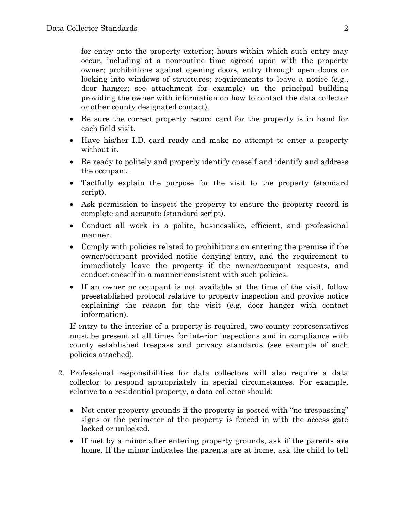for entry onto the property exterior; hours within which such entry may occur, including at a nonroutine time agreed upon with the property owner; prohibitions against opening doors, entry through open doors or looking into windows of structures; requirements to leave a notice (e.g., door hanger; see attachment for example) on the principal building providing the owner with information on how to contact the data collector or other county designated contact). for entry onto the property exterior; hours within which such entry may execut; including at a nonroutine time agreed upon with the property of<br>order profillitions agrained original does, entry through open does, or<br> $\delta$ 

- Be sure the correct property record card for the property is in hand for each field visit.
- Have his/her I.D. card ready and make no attempt to enter a property without it.
- Be ready to politely and properly identify oneself and identify and address the occupant.
- Tactfully explain the purpose for the visit to the property (standard script).
- Ask permission to inspect the property to ensure the property record is complete and accurate (standard script).
- Conduct all work in a polite, businesslike, efficient, and professional manner.
- Comply with policies related to prohibitions on entering the premise if the owner/occupant provided notice denying entry, and the requirement to immediately leave the property if the owner/occupant requests, and conduct oneself in a manner consistent with such policies.
- If an owner or occupant is not available at the time of the visit, follow preestablished protocol relative to property inspection and provide notice explaining the reason for the visit (e.g. door hanger with contact information).

If entry to the interior of a property is required, two county representatives must be present at all times for interior inspections and in compliance with county established trespass and privacy standards (see example of such policies attached).

- 2. Professional responsibilities for data collectors will also require a data collector to respond appropriately in special circumstances. For example, relative to a residential property, a data collector should:
	- Not enter property grounds if the property is posted with "no trespassing" signs or the perimeter of the property is fenced in with the access gate locked or unlocked.
	- If met by a minor after entering property grounds, ask if the parents are home. If the minor indicates the parents are at home, ask the child to tell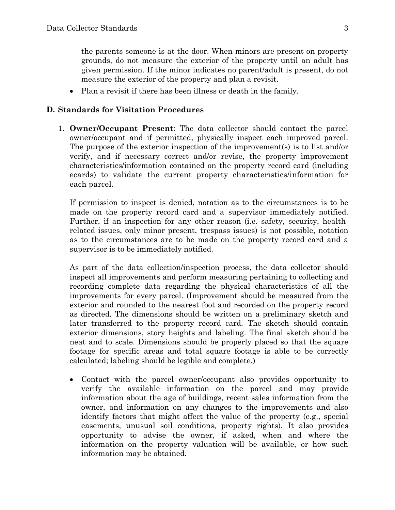the parents someone is at the door. When minors are present on property grounds, do not measure the exterior of the property until an adult has given permission. If the minor indicates no parent/adult is present, do not measure the exterior of the property and plan a revisit.

• Plan a revisit if there has been illness or death in the family.

#### **D. Standards for Visitation Procedures**

1. **Owner/Occupant Present**: The data collector should contact the parcel owner/occupant and if permitted, physically inspect each improved parcel. The purpose of the exterior inspection of the improvement(s) is to list and/or verify, and if necessary correct and/or revise, the property improvement characteristics/information contained on the property record card (including ecards) to validate the current property characteristics/information for each parcel.

If permission to inspect is denied, notation as to the circumstances is to be made on the property record card and a supervisor immediately notified. Further, if an inspection for any other reason (i.e. safety, security, healthrelated issues, only minor present, trespass issues) is not possible, notation as to the circumstances are to be made on the property record card and a supervisor is to be immediately notified.

As part of the data collection/inspection process, the data collector should inspect all improvements and perform measuring pertaining to collecting and recording complete data regarding the physical characteristics of all the improvements for every parcel. (Improvement should be measured from the exterior and rounded to the nearest foot and recorded on the property record as directed. The dimensions should be written on a preliminary sketch and later transferred to the property record card. The sketch should contain exterior dimensions, story heights and labeling. The final sketch should be neat and to scale. Dimensions should be properly placed so that the square footage for specific areas and total square footage is able to be correctly calculated; labeling should be legible and complete.) the parents someone is at the door. When minors are present on projectly grounds, do not an<br>another do not measure the categore's domination and high harmonization<br>of the property and in a revisit given permission. If the

• Contact with the parcel owner/occupant also provides opportunity to verify the available information on the parcel and may provide information about the age of buildings, recent sales information from the owner, and information on any changes to the improvements and also identify factors that might affect the value of the property (e.g., special easements, unusual soil conditions, property rights). It also provides opportunity to advise the owner, if asked, when and where the information on the property valuation will be available, or how such information may be obtained.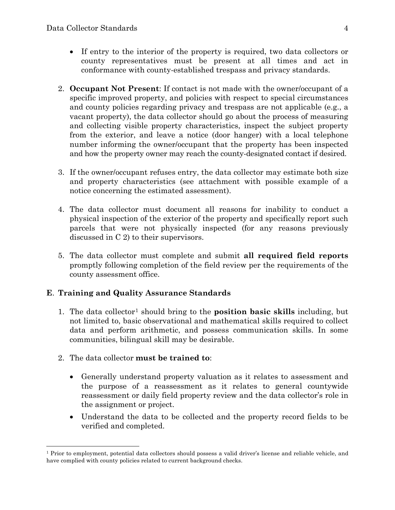- If entry to the interior of the property is required, two data collectors or county representatives must be present at all times and act in conformance with county-established trespass and privacy standards.
- 2. **Occupant Not Present**: If contact is not made with the owner/occupant of a specific improved property, and policies with respect to special circumstances and county policies regarding privacy and trespass are not applicable (e.g., a vacant property), the data collector should go about the process of measuring and collecting visible property characteristics, inspect the subject property from the exterior, and leave a notice (door hanger) with a local telephone number informing the owner/occupant that the property has been inspected and how the property owner may reach the county-designated contact if desired. For each content of the property is required, two data collect<br>for county representatives must be presented its one and anise are content at all times and all<br>at component parts and the present at all times and all compos
	- 3. If the owner/occupant refuses entry, the data collector may estimate both size and property characteristics (see attachment with possible example of a notice concerning the estimated assessment).
	- 4. The data collector must document all reasons for inability to conduct a physical inspection of the exterior of the property and specifically report such parcels that were not physically inspected (for any reasons previously discussed in C 2) to their supervisors.
	- 5. The data collector must complete and submit **all required field reports** promptly following completion of the field review per the requirements of the county assessment office.

#### **E**. **Training and Quality Assurance Standards**

- 1. The data collector1 should bring to the **position basic skills** including, but not limited to, basic observational and mathematical skills required to collect data and perform arithmetic, and possess communication skills. In some communities, bilingual skill may be desirable.
- 2. The data collector **must be trained to**:

 $\overline{a}$ 

- Generally understand property valuation as it relates to assessment and the purpose of a reassessment as it relates to general countywide reassessment or daily field property review and the data collector's role in the assignment or project.
- Understand the data to be collected and the property record fields to be verified and completed.

<span id="page-3-0"></span><sup>&</sup>lt;sup>1</sup> Prior to employment, potential data collectors should possess a valid driver's license and reliable vehicle, and have complied with county policies related to current background checks.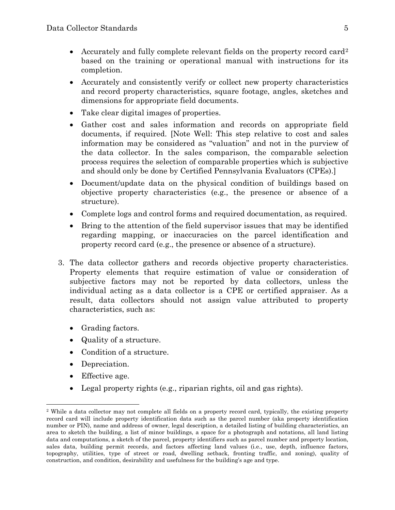- Accurately and fully complete relevant fields on the property record card<sup>2</sup> based on the training or operational manual with instructions for its completion.
- Accurately and consistently verify or collect new property characteristics and record property characteristics, square footage, angles, sketches and dimensions for appropriate field documents.
- Take clear digital images of properties.
- Gather cost and sales information and records on appropriate field documents, if required. [Note Well: This step relative to cost and sales information may be considered as "valuation" and not in the purview of the data collector. In the sales comparison, the comparable selection process requires the selection of comparable properties which is subjective and should only be done by Certified Pennsylvania Evaluators (CPEs).]
- Document/update data on the physical condition of buildings based on objective property characteristics (e.g., the presence or absence of a structure).
- Complete logs and control forms and required documentation, as required.
- Bring to the attention of the field supervisor issues that may be identified regarding mapping, or inaccuracies on the parcel identification and property record card (e.g., the presence or absence of a structure).
- 3. The data collector gathers and records objective property characteristics. Property elements that require estimation of value or consideration of subjective factors may not be reported by data collectors, unless the individual acting as a data collector is a CPE or certified appraiser. As a result, data collectors should not assign value attributed to property characteristics, such as: Accurately a[n](#page-4-0)d fully complete relevant fields on the property record cardinates<br>based on the training or operational manual with instructions for its countered and the<br>completion. A carrier of more terms in a state and re
	- Grading factors.
	- Quality of a structure.
	- Condition of a structure.
	- Depreciation.
	- Effective age.

 $\overline{a}$ 

• Legal property rights (e.g., riparian rights, oil and gas rights).

<span id="page-4-0"></span><sup>&</sup>lt;sup>2</sup> While a data collector may not complete all fields on a property record card, typically, the existing property record card will include property identification data such as the parcel number (aka property identification number or PIN), name and address of owner, legal description, a detailed listing of building characteristics, an area to sketch the building, a list of minor buildings, a space for a photograph and notations, all land listing data and computations, a sketch of the parcel, property identifiers such as parcel number and property location, sales data, building permit records, and factors affecting land values (i.e., use, depth, influence factors, topography, utilities, type of street or road, dwelling setback, fronting traffic, and zoning), quality of construction, and condition, desirability and usefulness for the building's age and type.